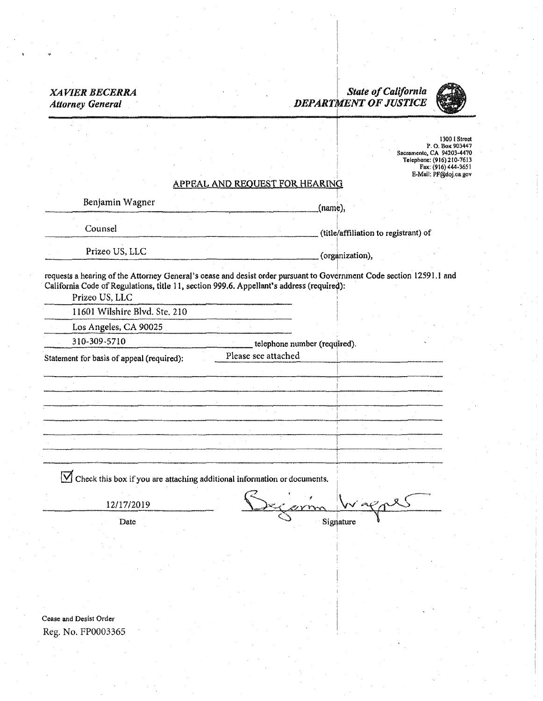## *XAVIER BECERRA Attorney General*

..

## $\left| \cdot \right|$ I *State of California*  . *DEPART¥ENT OF JUSTICE*

1 I



1300 I Street l'. 0. BoK903447 Sacramento, CA 94203-4470 Telephone: (916)210-7613 FIIX: (916) 444-365 l E-Mail: PF@doj.cagov

# APPEAL AND REQUEST FOR HEARING

| Benjamin Wagner                                                                                                                                                                                                                   |                              | $(name)$ ,                           |  |
|-----------------------------------------------------------------------------------------------------------------------------------------------------------------------------------------------------------------------------------|------------------------------|--------------------------------------|--|
| Counsel                                                                                                                                                                                                                           |                              | (title/affiliation to registrant) of |  |
| Prizeo US, LLC                                                                                                                                                                                                                    |                              | (organization),                      |  |
| requests a hearing of the Attorney General's cease and desist order pursuant to Government Code section 12591.1 and<br>California Code of Regulations, title 11, section 999.6. Appellant's address (required):<br>Prizeo US, LLC |                              |                                      |  |
| 11601 Wilshire Blvd. Ste. 210                                                                                                                                                                                                     |                              |                                      |  |
| Los Angeles, CA 90025                                                                                                                                                                                                             |                              |                                      |  |
| 310-309-5710                                                                                                                                                                                                                      | telephone number (required). |                                      |  |
| Statement for basis of appeal (required):                                                                                                                                                                                         | Please see attached          |                                      |  |
|                                                                                                                                                                                                                                   |                              |                                      |  |
|                                                                                                                                                                                                                                   |                              |                                      |  |
|                                                                                                                                                                                                                                   |                              |                                      |  |

-------~---·-----····--------------

 $\boxed{\sum}$  Check this box if you are attaching additional information or documents.

12/17/2019 Severin Wagner

Date  $\bigcirc$  Signature

Cease and Desist Order Reg. No. FP0003365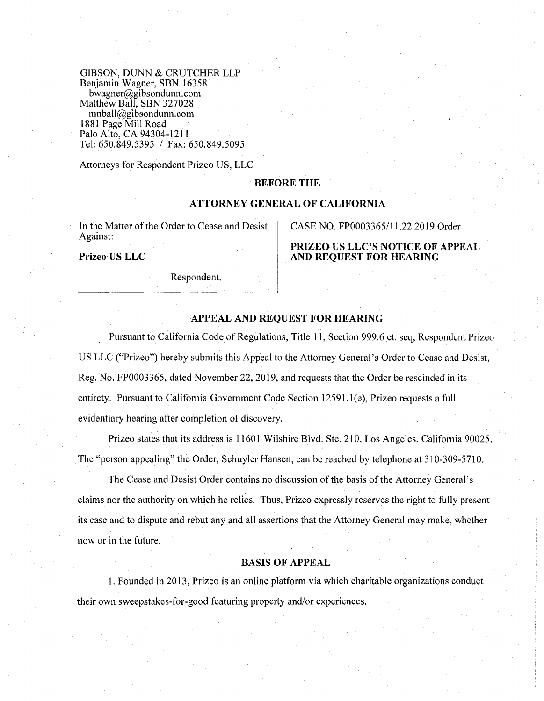GIBSON, DUNN & CRUTCHER LLP Benjamin Wagner, SBN 163581 bwagner@gibsondunn.com Matthew Ball, SBN 327028 mnball@gibsondunn.com 1881 Page Mill Road Palo Alto, CA 94304-1211 Tel: 650.849.5395 / Fax: 650.849.5095

Attorneys for Respondent Prizeo US, LLC

#### **BEFORE THE**

#### **ATTORNEY GENERAL OF CALIFORNIA**

In the Matter of the Order to Cease and Desist Against:

**Prizeo US LLC** 

Respondent.

CASE NO. FP0003365/11.22.2019 Order

**PRIZEO US LLC'S NOTICE OF APPEAL AND REQUEST FOR HEARING** 

#### **APPEAL AND REQUEST FOR HEARING**

Pursuant to California Code of Regulations, Title 11, Section 999.6 et. seq, Respondent Prizeo US LLC ("Prizeo") hereby submits this Appeal to the Attorney General's Order to Cease and Desist, Reg. No. FP0003365, dated November 22, 2019, and requests that the Order be rescinded in its entirety. Pursuant to California Government Code Section 12591. l(e), Prizeo requests a full evidentiary hearing after completion of discovery.

Prizeo states that its address is 11601 Wilshire Blvd. Ste. 210, Los Angeles, California 90025. The "person appealing" the Order, Schuyler Hansen, can be reached by telephone at 310-309-5710.

The Cease and Desist Order contains no discussion of the basis of the Attorney General's claims nor the authority on which he relies. Thus, Prizeo expressly reserves the right to fully present its case and to dispute and rebut any and all assertions that the Attorney General may make, whether now or in the future.

#### **BASIS OF APPEAL**

1. Founded in 2013, Prizeo is an online platform via which charitable organizations conduct their own sweepstakes-for-good featuring property and/or experiences.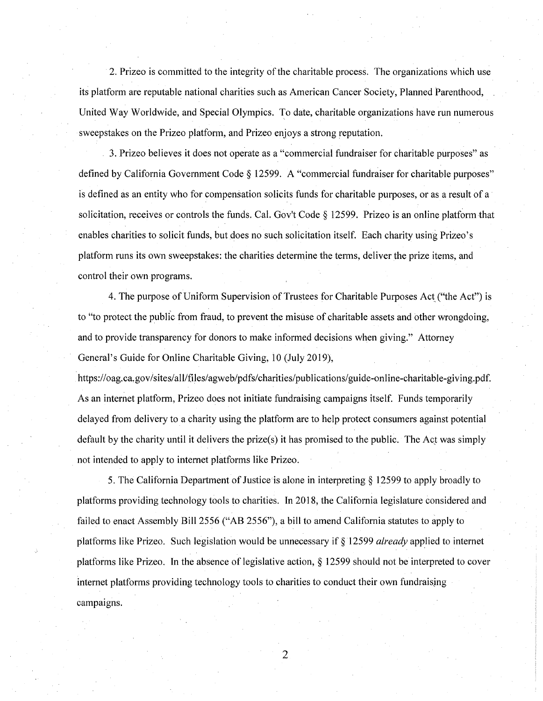2. Prizeo is committed to the integrity of the charitable process. The organizations which use its platform are reputable national charities such as American Cancer Society, Planned Parenthood, United Way Worldwide, and Special Olympics. To date, charitable organizations have run numerous sweepstakes on the Prizeo platform, and Prizeo enjoys a strong reputation.

3. Prizeo believes it does not operate as a "commercial fundraiser for charitable purposes" as defined by California Government Code§ 12599. A "commercial fundraiser for charitable purposes" is defined as an entity who for compensation solicits funds for charitable purposes, or as a result of a solicitation, receives or controls the funds. Cal. Gov't Code§ 12599. Prizeo is an online platform that enables charities to solicit funds, but does no such solicitation itself. Each charity using Prizeo' s platform runs its own sweepstakes: the charities determine the terms, deliver the prize items, and control their own programs.

4. The purpose of Uniform Supervision of Trustees for Charitable Purposes Act ("the Act") is to "to protect the public from fraud, to prevent the misuse of charitable assets and other wrongdoing, and to provide transparency for donors to make informed decisions when giving." Attorney General's Guide for Online Charitable Giving, 10 (July 2019),

https://oag.ca.gov/sites/all/files/agweb/pdfs/charities/publications/guide-online-charitable-giving.pdf. As an internet platform, Prizeo does not initiate fundraising campaigns itself. Funds temporarily delayed from delivery to a charity using the platform are to help protect consumers against potential default by the charity until it delivers the prize(s) it has promised to the public. The Act was simply not intended to apply to internet platforms like Prizeo.

5. The California Department of Justice is alone in interpreting§ 12599 to apply broadly to platforms providing technology tools to charities. In 2018, the California legislature considered and failed to enact Assembly Bill 2556 ("AB 2556"), a bill to amend California statutes to apply to platforms like Prizeo. Such legislation would be unnecessary if § 12599 *already* applied to internet platforms like Prizeo. In the absence of legislative action, § 12599 should not be interpreted to cover internet platforms providing technology tools to charities to conduct their own fundraising campaigns.

2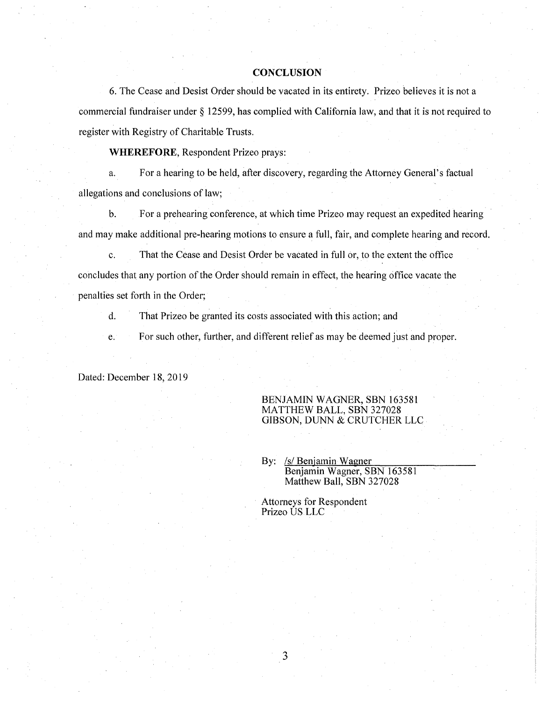#### **CONCLUSION**

6. The Cease and Desist Order should be vacated in its entirety. Prizeo believes it is not a commercial fundraiser under§ 12599, has complied with California law, and that it is not required to register with Registry of Charitable Trusts.

**WHEREFORE,** Respondent Prizeo prays:

a. For a hearing to be held, after discovery, regarding the Attorney General's factual allegations and conclusions of law;

b. For a prehearing conference, at which time Prizeo may request an expedited hearing and may make additional pre-hearing motions to ensure a full, fair, and complete hearing and record.

c. That the Cease and Desist Order be vacated in full or, to the extent the office concludes that any portion of the Order should remain in effect, the hearing office vacate the penalties set forth in the Order;

d. That Prizeo be granted its costs associated with this action; and

e. For such other, further, and different relief as may be deemed just and proper.

Dated: December 18, 2019

BENJAMIN WAGNER, SBN 163581 MATTHEW BALL, SBN 327028 GIBSON, DUNN & CRUTCHER LLC

By: /s/ Benjamin Wagner Benjamin Wagner, SBN 163581 Matthew Ball, SBN 327028

Attorneys for Respondent Prizeo US LLC